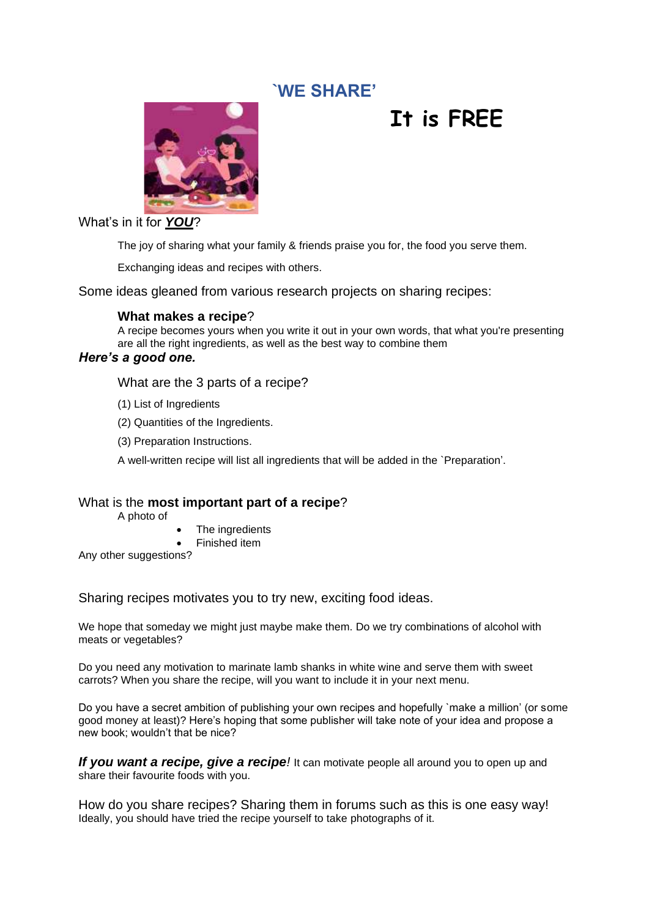# **`WE SHARE'**



# **It is FREE**

What's in it for *YOU*?

The joy of sharing what your family & friends praise you for, the food you serve them.

Exchanging ideas and recipes with others.

Some ideas gleaned from various research projects on sharing recipes:

# **What makes a recipe**?

A recipe becomes yours when you write it out in your own words, that what you're presenting are all the right ingredients, as well as the best way to combine them

# *Here's a good one.*

What are the 3 parts of a recipe?

- (1) List of Ingredients
- (2) Quantities of the Ingredients.
- (3) Preparation Instructions.

A well-written recipe will list all ingredients that will be added in the `Preparation'.

# What is the **most important part of a recipe**?

A photo of

- The ingredients
- Finished item

Any other suggestions?

Sharing recipes motivates you to try new, exciting food ideas.

We hope that someday we might just maybe make them. Do we try combinations of alcohol with meats or vegetables?

Do you need any motivation to marinate lamb shanks in white wine and serve them with sweet carrots? When you share the recipe, will you want to include it in your next menu.

Do you have a secret ambition of publishing your own recipes and hopefully `make a million' (or some good money at least)? Here's hoping that some publisher will take note of your idea and propose a new book; wouldn't that be nice?

**If you want a recipe, give a recipe**! It can motivate people all around you to open up and share their favourite foods with you.

How do you share recipes? Sharing them in forums such as this is one easy way! Ideally, you should have tried the recipe yourself to take photographs of it.